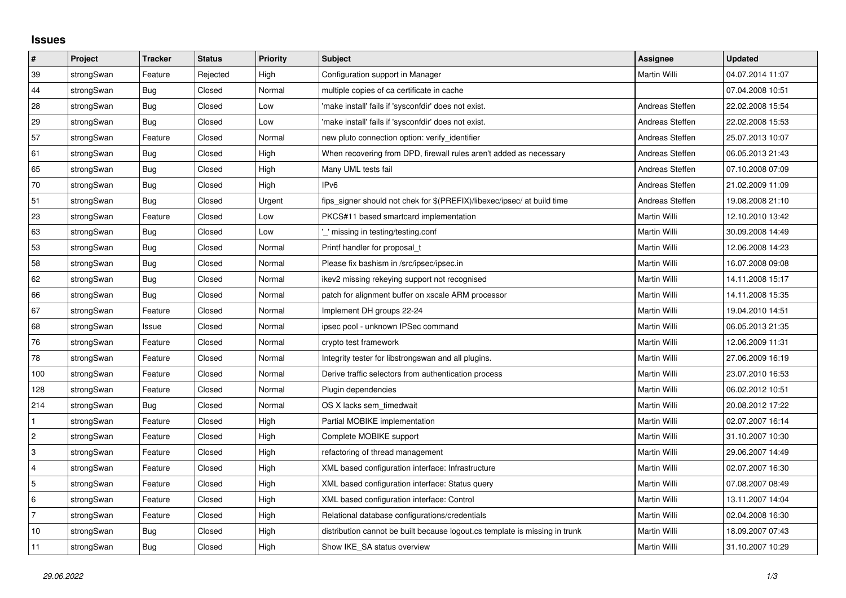## **Issues**

| $\vert$ #      | Project    | <b>Tracker</b> | <b>Status</b> | <b>Priority</b> | <b>Subject</b>                                                              | Assignee        | <b>Updated</b>   |
|----------------|------------|----------------|---------------|-----------------|-----------------------------------------------------------------------------|-----------------|------------------|
| 39             | strongSwan | Feature        | Rejected      | High            | Configuration support in Manager                                            | Martin Willi    | 04.07.2014 11:07 |
| 44             | strongSwan | Bug            | Closed        | Normal          | multiple copies of ca certificate in cache                                  |                 | 07.04.2008 10:51 |
| 28             | strongSwan | Bug            | Closed        | Low             | 'make install' fails if 'sysconfdir' does not exist.                        | Andreas Steffen | 22.02.2008 15:54 |
| 29             | strongSwan | Bug            | Closed        | Low             | 'make install' fails if 'sysconfdir' does not exist.                        | Andreas Steffen | 22.02.2008 15:53 |
| 57             | strongSwan | Feature        | Closed        | Normal          | new pluto connection option: verify identifier                              | Andreas Steffen | 25.07.2013 10:07 |
| 61             | strongSwan | Bug            | Closed        | High            | When recovering from DPD, firewall rules aren't added as necessary          | Andreas Steffen | 06.05.2013 21:43 |
| 65             | strongSwan | Bug            | Closed        | High            | Many UML tests fail                                                         | Andreas Steffen | 07.10.2008 07:09 |
| 70             | strongSwan | <b>Bug</b>     | Closed        | High            | IPv6                                                                        | Andreas Steffen | 21.02.2009 11:09 |
| 51             | strongSwan | Bug            | Closed        | Urgent          | fips_signer should not chek for \$(PREFIX)/libexec/ipsec/ at build time     | Andreas Steffen | 19.08.2008 21:10 |
| 23             | strongSwan | Feature        | Closed        | Low             | PKCS#11 based smartcard implementation                                      | Martin Willi    | 12.10.2010 13:42 |
| 63             | strongSwan | <b>Bug</b>     | Closed        | Low             | missing in testing/testing.conf                                             | Martin Willi    | 30.09.2008 14:49 |
| 53             | strongSwan | Bug            | Closed        | Normal          | Printf handler for proposal t                                               | Martin Willi    | 12.06.2008 14:23 |
| 58             | strongSwan | Bug            | Closed        | Normal          | Please fix bashism in /src/ipsec/ipsec.in                                   | Martin Willi    | 16.07.2008 09:08 |
| 62             | strongSwan | Bug            | Closed        | Normal          | ikev2 missing rekeying support not recognised                               | Martin Willi    | 14.11.2008 15:17 |
| 66             | strongSwan | Bug            | Closed        | Normal          | patch for alignment buffer on xscale ARM processor                          | Martin Willi    | 14.11.2008 15:35 |
| 67             | strongSwan | Feature        | Closed        | Normal          | Implement DH groups 22-24                                                   | Martin Willi    | 19.04.2010 14:51 |
| 68             | strongSwan | Issue          | Closed        | Normal          | ipsec pool - unknown IPSec command                                          | Martin Willi    | 06.05.2013 21:35 |
| 76             | strongSwan | Feature        | Closed        | Normal          | crypto test framework                                                       | Martin Willi    | 12.06.2009 11:31 |
| 78             | strongSwan | Feature        | Closed        | Normal          | Integrity tester for libstrongswan and all plugins.                         | Martin Willi    | 27.06.2009 16:19 |
| 100            | strongSwan | Feature        | Closed        | Normal          | Derive traffic selectors from authentication process                        | Martin Willi    | 23.07.2010 16:53 |
| 128            | strongSwan | Feature        | Closed        | Normal          | Plugin dependencies                                                         | Martin Willi    | 06.02.2012 10:51 |
| 214            | strongSwan | Bug            | Closed        | Normal          | OS X lacks sem timedwait                                                    | Martin Willi    | 20.08.2012 17:22 |
| $\mathbf{1}$   | strongSwan | Feature        | Closed        | High            | Partial MOBIKE implementation                                               | Martin Willi    | 02.07.2007 16:14 |
| $\overline{2}$ | strongSwan | Feature        | Closed        | High            | Complete MOBIKE support                                                     | Martin Willi    | 31.10.2007 10:30 |
| 3              | strongSwan | Feature        | Closed        | High            | refactoring of thread management                                            | Martin Willi    | 29.06.2007 14:49 |
| $\overline{4}$ | strongSwan | Feature        | Closed        | High            | XML based configuration interface: Infrastructure                           | Martin Willi    | 02.07.2007 16:30 |
| 5              | strongSwan | Feature        | Closed        | High            | XML based configuration interface: Status query                             | Martin Willi    | 07.08.2007 08:49 |
| 6              | strongSwan | Feature        | Closed        | High            | XML based configuration interface: Control                                  | Martin Willi    | 13.11.2007 14:04 |
| $\overline{7}$ | strongSwan | Feature        | Closed        | High            | Relational database configurations/credentials                              | Martin Willi    | 02.04.2008 16:30 |
| 10             | strongSwan | Bug            | Closed        | High            | distribution cannot be built because logout.cs template is missing in trunk | Martin Willi    | 18.09.2007 07:43 |
| 11             | strongSwan | Bug            | Closed        | High            | Show IKE SA status overview                                                 | Martin Willi    | 31.10.2007 10:29 |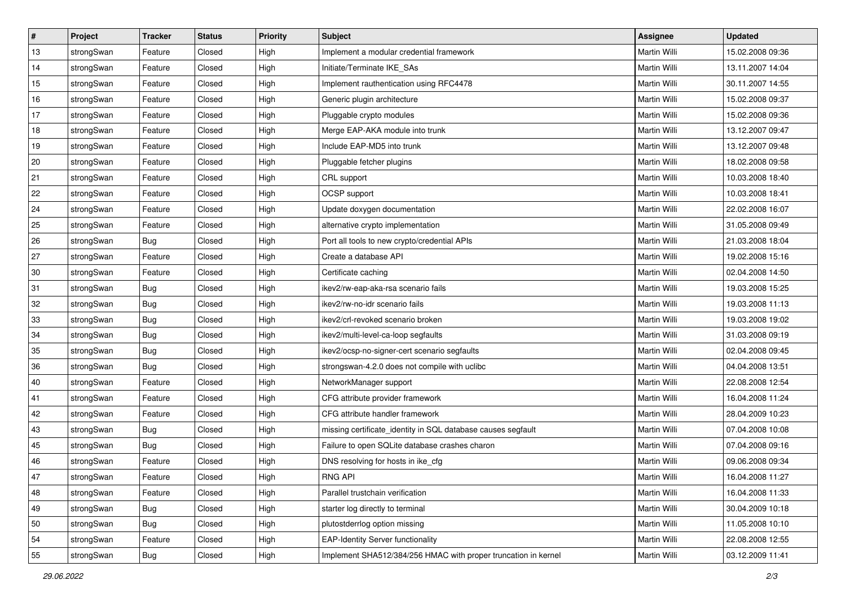| ∦  | Project    | <b>Tracker</b> | <b>Status</b> | <b>Priority</b> | <b>Subject</b>                                                 | Assignee            | <b>Updated</b>   |
|----|------------|----------------|---------------|-----------------|----------------------------------------------------------------|---------------------|------------------|
| 13 | strongSwan | Feature        | Closed        | High            | Implement a modular credential framework                       | Martin Willi        | 15.02.2008 09:36 |
| 14 | strongSwan | Feature        | Closed        | High            | Initiate/Terminate IKE_SAs                                     | Martin Willi        | 13.11.2007 14:04 |
| 15 | strongSwan | Feature        | Closed        | High            | Implement rauthentication using RFC4478                        | Martin Willi        | 30.11.2007 14:55 |
| 16 | strongSwan | Feature        | Closed        | High            | Generic plugin architecture                                    | <b>Martin Willi</b> | 15.02.2008 09:37 |
| 17 | strongSwan | Feature        | Closed        | High            | Pluggable crypto modules                                       | <b>Martin Willi</b> | 15.02.2008 09:36 |
| 18 | strongSwan | Feature        | Closed        | High            | Merge EAP-AKA module into trunk                                | Martin Willi        | 13.12.2007 09:47 |
| 19 | strongSwan | Feature        | Closed        | High            | Include EAP-MD5 into trunk                                     | Martin Willi        | 13.12.2007 09:48 |
| 20 | strongSwan | Feature        | Closed        | High            | Pluggable fetcher plugins                                      | Martin Willi        | 18.02.2008 09:58 |
| 21 | strongSwan | Feature        | Closed        | High            | CRL support                                                    | Martin Willi        | 10.03.2008 18:40 |
| 22 | strongSwan | Feature        | Closed        | High            | OCSP support                                                   | <b>Martin Willi</b> | 10.03.2008 18:41 |
| 24 | strongSwan | Feature        | Closed        | High            | Update doxygen documentation                                   | Martin Willi        | 22.02.2008 16:07 |
| 25 | strongSwan | Feature        | Closed        | High            | alternative crypto implementation                              | <b>Martin Willi</b> | 31.05.2008 09:49 |
| 26 | strongSwan | Bug            | Closed        | High            | Port all tools to new crypto/credential APIs                   | <b>Martin Willi</b> | 21.03.2008 18:04 |
| 27 | strongSwan | Feature        | Closed        | High            | Create a database API                                          | Martin Willi        | 19.02.2008 15:16 |
| 30 | strongSwan | Feature        | Closed        | High            | Certificate caching                                            | <b>Martin Willi</b> | 02.04.2008 14:50 |
| 31 | strongSwan | <b>Bug</b>     | Closed        | High            | ikev2/rw-eap-aka-rsa scenario fails                            | Martin Willi        | 19.03.2008 15:25 |
| 32 | strongSwan | Bug            | Closed        | High            | ikev2/rw-no-idr scenario fails                                 | Martin Willi        | 19.03.2008 11:13 |
| 33 | strongSwan | Bug            | Closed        | High            | ikev2/crl-revoked scenario broken                              | Martin Willi        | 19.03.2008 19:02 |
| 34 | strongSwan | Bug            | Closed        | High            | ikev2/multi-level-ca-loop segfaults                            | Martin Willi        | 31.03.2008 09:19 |
| 35 | strongSwan | Bug            | Closed        | High            | ikev2/ocsp-no-signer-cert scenario segfaults                   | Martin Willi        | 02.04.2008 09:45 |
| 36 | strongSwan | Bug            | Closed        | High            | strongswan-4.2.0 does not compile with uclibc                  | Martin Willi        | 04.04.2008 13:51 |
| 40 | strongSwan | Feature        | Closed        | High            | NetworkManager support                                         | Martin Willi        | 22.08.2008 12:54 |
| 41 | strongSwan | Feature        | Closed        | High            | CFG attribute provider framework                               | <b>Martin Willi</b> | 16.04.2008 11:24 |
| 42 | strongSwan | Feature        | Closed        | High            | CFG attribute handler framework                                | Martin Willi        | 28.04.2009 10:23 |
| 43 | strongSwan | <b>Bug</b>     | Closed        | High            | missing certificate_identity in SQL database causes segfault   | Martin Willi        | 07.04.2008 10:08 |
| 45 | strongSwan | Bug            | Closed        | High            | Failure to open SQLite database crashes charon                 | <b>Martin Willi</b> | 07.04.2008 09:16 |
| 46 | strongSwan | Feature        | Closed        | High            | DNS resolving for hosts in ike cfg                             | Martin Willi        | 09.06.2008 09:34 |
| 47 | strongSwan | Feature        | Closed        | High            | RNG API                                                        | Martin Willi        | 16.04.2008 11:27 |
| 48 | strongSwan | Feature        | Closed        | High            | Parallel trustchain verification                               | Martin Willi        | 16.04.2008 11:33 |
| 49 | strongSwan | Bug            | Closed        | High            | starter log directly to terminal                               | Martin Willi        | 30.04.2009 10:18 |
| 50 | strongSwan | Bug            | Closed        | High            | plutostderrlog option missing                                  | Martin Willi        | 11.05.2008 10:10 |
| 54 | strongSwan | Feature        | Closed        | High            | <b>EAP-Identity Server functionality</b>                       | Martin Willi        | 22.08.2008 12:55 |
| 55 | strongSwan | <b>Bug</b>     | Closed        | High            | Implement SHA512/384/256 HMAC with proper truncation in kernel | Martin Willi        | 03.12.2009 11:41 |